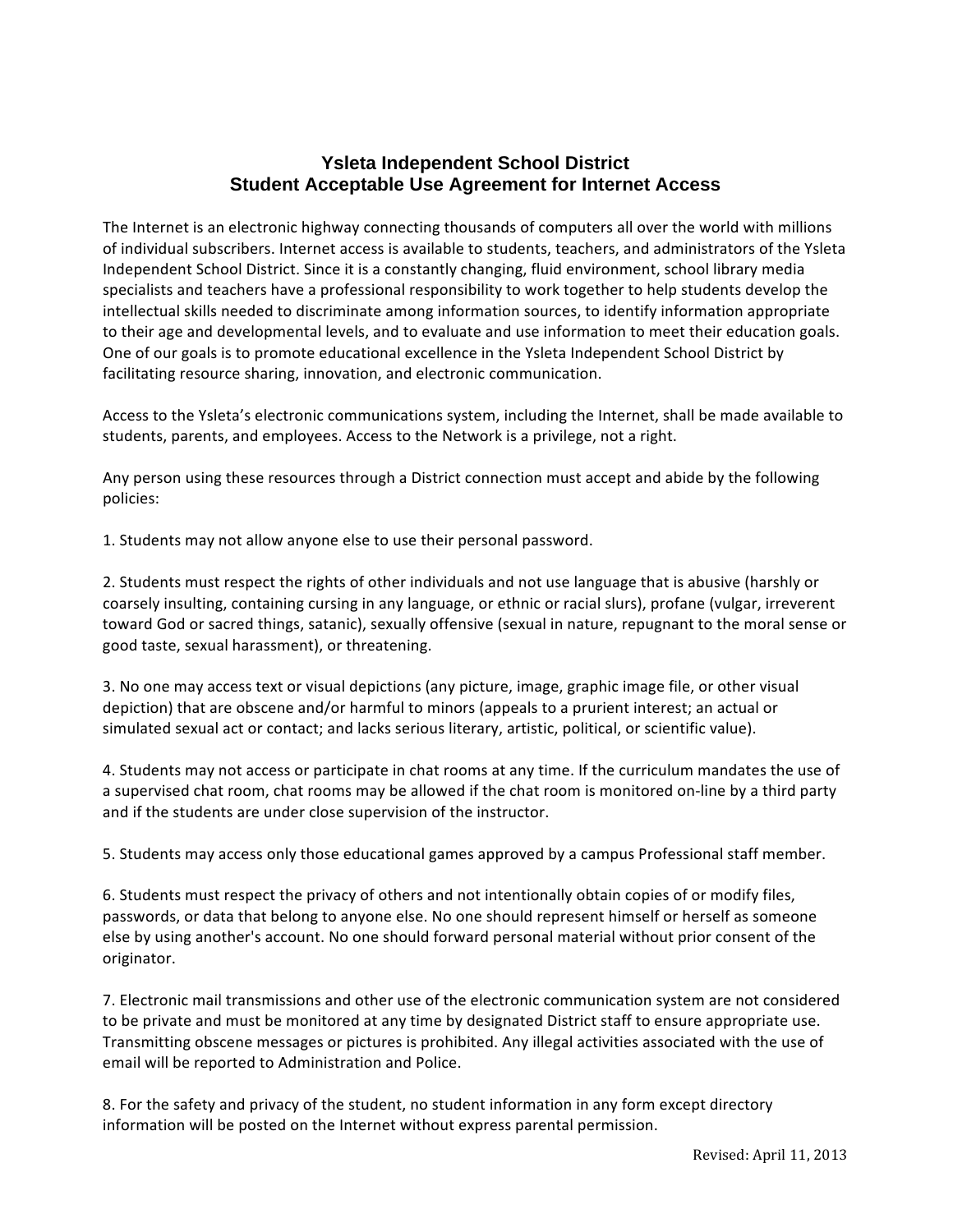## **Ysleta Independent School District Student Acceptable Use Agreement for Internet Access**

The Internet is an electronic highway connecting thousands of computers all over the world with millions of individual subscribers. Internet access is available to students, teachers, and administrators of the Ysleta Independent School District. Since it is a constantly changing, fluid environment, school library media specialists and teachers have a professional responsibility to work together to help students develop the intellectual skills needed to discriminate among information sources, to identify information appropriate to their age and developmental levels, and to evaluate and use information to meet their education goals. One of our goals is to promote educational excellence in the Ysleta Independent School District by facilitating resource sharing, innovation, and electronic communication.

Access to the Ysleta's electronic communications system, including the Internet, shall be made available to students, parents, and employees. Access to the Network is a privilege, not a right.

Any person using these resources through a District connection must accept and abide by the following policies:

1. Students may not allow anyone else to use their personal password.

2. Students must respect the rights of other individuals and not use language that is abusive (harshly or coarsely insulting, containing cursing in any language, or ethnic or racial slurs), profane (vulgar, irreverent toward God or sacred things, satanic), sexually offensive (sexual in nature, repugnant to the moral sense or good taste, sexual harassment), or threatening.

3. No one may access text or visual depictions (any picture, image, graphic image file, or other visual depiction) that are obscene and/or harmful to minors (appeals to a prurient interest; an actual or simulated sexual act or contact; and lacks serious literary, artistic, political, or scientific value).

4. Students may not access or participate in chat rooms at any time. If the curriculum mandates the use of a supervised chat room, chat rooms may be allowed if the chat room is monitored on-line by a third party and if the students are under close supervision of the instructor.

5. Students may access only those educational games approved by a campus Professional staff member.

6. Students must respect the privacy of others and not intentionally obtain copies of or modify files, passwords, or data that belong to anyone else. No one should represent himself or herself as someone else by using another's account. No one should forward personal material without prior consent of the originator.

7. Electronic mail transmissions and other use of the electronic communication system are not considered to be private and must be monitored at any time by designated District staff to ensure appropriate use. Transmitting obscene messages or pictures is prohibited. Any illegal activities associated with the use of email will be reported to Administration and Police.

8. For the safety and privacy of the student, no student information in any form except directory information will be posted on the Internet without express parental permission.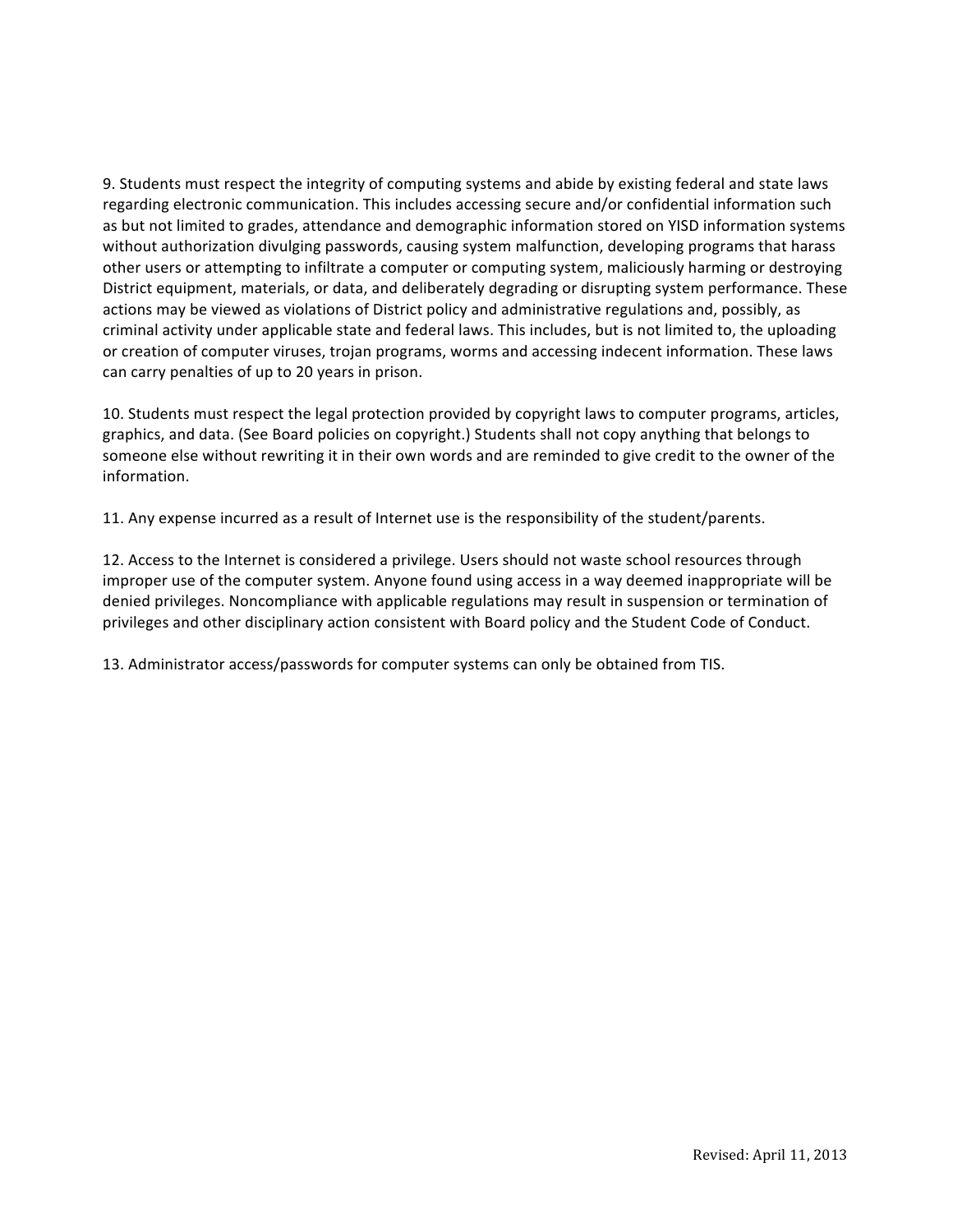9. Students must respect the integrity of computing systems and abide by existing federal and state laws regarding electronic communication. This includes accessing secure and/or confidential information such as but not limited to grades, attendance and demographic information stored on YISD information systems without authorization divulging passwords, causing system malfunction, developing programs that harass other users or attempting to infiltrate a computer or computing system, maliciously harming or destroying District equipment, materials, or data, and deliberately degrading or disrupting system performance. These actions may be viewed as violations of District policy and administrative regulations and, possibly, as criminal activity under applicable state and federal laws. This includes, but is not limited to, the uploading or creation of computer viruses, trojan programs, worms and accessing indecent information. These laws can carry penalties of up to 20 years in prison.

10. Students must respect the legal protection provided by copyright laws to computer programs, articles, graphics, and data. (See Board policies on copyright.) Students shall not copy anything that belongs to someone else without rewriting it in their own words and are reminded to give credit to the owner of the information.

11. Any expense incurred as a result of Internet use is the responsibility of the student/parents.

12. Access to the Internet is considered a privilege. Users should not waste school resources through improper use of the computer system. Anyone found using access in a way deemed inappropriate will be denied privileges. Noncompliance with applicable regulations may result in suspension or termination of privileges and other disciplinary action consistent with Board policy and the Student Code of Conduct.

13. Administrator access/passwords for computer systems can only be obtained from TIS.